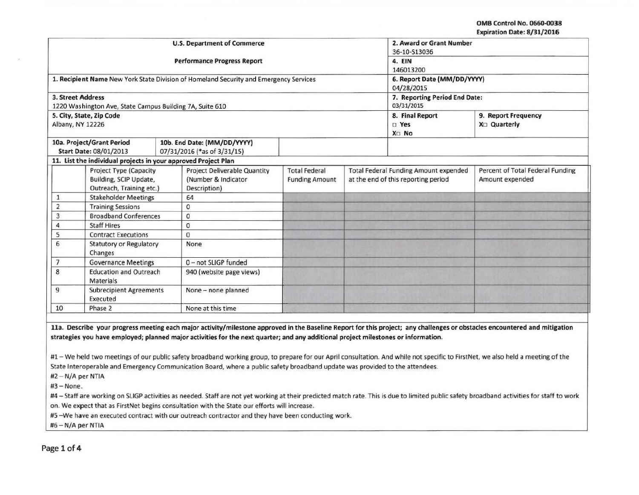**OMB Control No. 0660-0038** Expiration Date: 8/31/2016

|                          |                                                                |  |                                                                                       |                       |  |                                              | capitation bate. of 317 coro     |
|--------------------------|----------------------------------------------------------------|--|---------------------------------------------------------------------------------------|-----------------------|--|----------------------------------------------|----------------------------------|
|                          |                                                                |  | <b>U.S. Department of Commerce</b>                                                    |                       |  | 2. Award or Grant Number                     |                                  |
|                          |                                                                |  |                                                                                       |                       |  | 36-10-S13036                                 |                                  |
|                          |                                                                |  | <b>Performance Progress Report</b>                                                    |                       |  | 4. EIN                                       |                                  |
|                          |                                                                |  |                                                                                       |                       |  | 146013200                                    |                                  |
|                          |                                                                |  | 1. Recipient Name New York State Division of Homeland Security and Emergency Services |                       |  | 6. Report Date (MM/DD/YYYY)                  |                                  |
|                          |                                                                |  |                                                                                       |                       |  | 04/28/2015                                   |                                  |
| <b>3. Street Address</b> |                                                                |  |                                                                                       |                       |  | 7. Reporting Period End Date:                |                                  |
|                          | 1220 Washington Ave, State Campus Building 7A, Suite 610       |  |                                                                                       | 03/31/2015            |  |                                              |                                  |
|                          | 5. City, State, Zip Code                                       |  |                                                                                       |                       |  | 8. Final Report                              | 9. Report Frequency              |
| Albany, NY 12226         |                                                                |  |                                                                                       |                       |  | $\square$ Yes                                | X <sub>D</sub> Quarterly         |
|                          |                                                                |  |                                                                                       |                       |  | X <sub>D</sub> No                            |                                  |
|                          | 10a. Project/Grant Period                                      |  | 10b. End Date: (MM/DD/YYYY)                                                           |                       |  |                                              |                                  |
|                          | Start Date: 08/01/2013                                         |  | 07/31/2016 (*as of 3/31/15)                                                           |                       |  |                                              |                                  |
|                          | 11. List the individual projects in your approved Project Plan |  |                                                                                       |                       |  |                                              |                                  |
|                          | <b>Project Type (Capacity</b>                                  |  | <b>Project Deliverable Quantity</b>                                                   | <b>Total Federal</b>  |  | <b>Total Federal Funding Amount expended</b> | Percent of Total Federal Funding |
|                          | Building, SCIP Update,                                         |  | (Number & Indicator                                                                   | <b>Funding Amount</b> |  | at the end of this reporting period          | Amount expended                  |
|                          | Outreach, Training etc.)                                       |  | Description)                                                                          |                       |  |                                              |                                  |
| 1                        | <b>Stakeholder Meetings</b>                                    |  | 64                                                                                    |                       |  |                                              |                                  |
| $\overline{2}$           | <b>Training Sessions</b>                                       |  | $\mathbf{0}$                                                                          |                       |  |                                              |                                  |
| 3                        | <b>Broadband Conferences</b>                                   |  | $\mathbf 0$                                                                           |                       |  |                                              |                                  |
| 4                        | <b>Staff Hires</b>                                             |  | $\mathbf 0$                                                                           |                       |  |                                              |                                  |
| 5                        | <b>Contract Executions</b>                                     |  | 0                                                                                     |                       |  |                                              |                                  |
| 6                        | <b>Statutory or Regulatory</b>                                 |  | None                                                                                  |                       |  |                                              |                                  |
|                          | Changes                                                        |  |                                                                                       |                       |  |                                              |                                  |
| $\overline{7}$           | <b>Governance Meetings</b>                                     |  | 0-not SLIGP funded                                                                    |                       |  |                                              |                                  |
| 8                        | <b>Education and Outreach</b>                                  |  | 940 (website page views)                                                              |                       |  |                                              |                                  |
|                          | <b>Materials</b>                                               |  |                                                                                       |                       |  |                                              |                                  |
| 9                        | <b>Subrecipient Agreements</b><br>Executed                     |  | None - none planned                                                                   |                       |  |                                              |                                  |
| 10                       | Phase 2                                                        |  | None at this time                                                                     |                       |  |                                              |                                  |
|                          |                                                                |  |                                                                                       |                       |  |                                              |                                  |

lla. Describe your progress meeting each major activity/milestone approved in the Baseline Report for this project; any challenges or obstacles encountered and mitigation strategies you have employed; planned major activities for the next quarter; and any additional project milestones or information.

#1- We held two meetings of our public safety broadband working group, to prepare for our April consultation. And while not specific to FirstNet, we also held a meeting of the State Interoperable and Emergency Communication Board, where a public safety broadband update was provided to the attendees.

#2 - N/A per NTIA

#3-None.

#4 - Staff are working on SLIGP activities as needed. Staff are not yet working at their predicted match rate. This is due to limited public safety broadband activities for staff to work on. We expect that as FirstNet begins consultation with the State our efforts will increase.

#5 -We have an executed contract with our outreach contractor and they have been conducting work.

#6- N/A per NTIA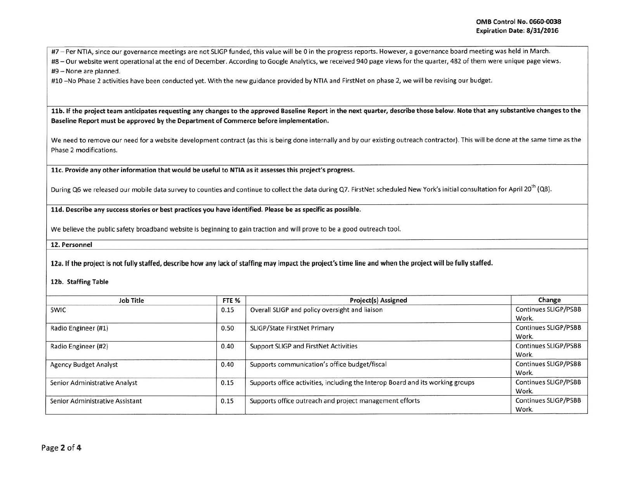#7 - Per NTIA, since our governance meetings are not SLIGP funded, this value will be 0 in the progress reports. However, a governance board meeting was held in March.

#8- Our website went operational at the end of December. According to Google Analytics, we received 940 page views for the quarter, 482 of them were unique page views.

#9 - None are planned.

#10 -No Phase 2 activities have been conducted yet. With the new guidance provided by NTIA and FirstNet on phase 2, we will be revising our budget.

11b. If the project team anticipates requesting any changes to the approved Baseline Report in the next quarter, describe those below. Note that any substantive changes to the Baseline Report must be approved by the Department of Commerce before implementation.

We need to remove our need for a website development contract (as this is being done internally and by our existing outreach contractor). This will be done at the same time as the Phase 2 modifications.

llc. Provide any other information that would be useful to NTIA as it assesses this project 's progress.

During Q6 we released our mobile data survey to counties and continue to collect the data during Q7. FirstNet scheduled New York's initial consultation for April 20<sup>th</sup> (Q8).

lld. Describe any success stories or best practices you have identified. Please be as specific as possible.

We believe the public safety broadband website is beginning to gain traction and will prove to be a good outreach tool.

12. Personnel

12a. If the project is not fully staffed, describe how any lack of staffing may impact the project's time line and when the project will be fully staffed.

12b. Staffing Table

| Job Title                       | FTE % | <b>Project(s) Assigned</b>                                                     | Change                               |
|---------------------------------|-------|--------------------------------------------------------------------------------|--------------------------------------|
| <b>SWIC</b>                     | 0.15  | Overall SLIGP and policy oversight and liaison                                 | Continues SLIGP/PSBB<br>Work.        |
| Radio Engineer (#1)             | 0.50  | SLIGP/State FirstNet Primary                                                   | Continues SLIGP/PSBB<br>Work.        |
| Radio Engineer (#2)             | 0.40  | Support SLIGP and FirstNet Activities                                          | <b>Continues SLIGP/PSBB</b><br>Work. |
| <b>Agency Budget Analyst</b>    | 0.40  | Supports communication's office budget/fiscal                                  | <b>Continues SLIGP/PSBB</b><br>Work. |
| Senior Administrative Analyst   | 0.15  | Supports office activities, including the Interop Board and its working groups | Continues SLIGP/PSBB<br>Work.        |
| Senior Administrative Assistant | 0.15  | Supports office outreach and project management efforts                        | Continues SLIGP/PSBB<br>Work.        |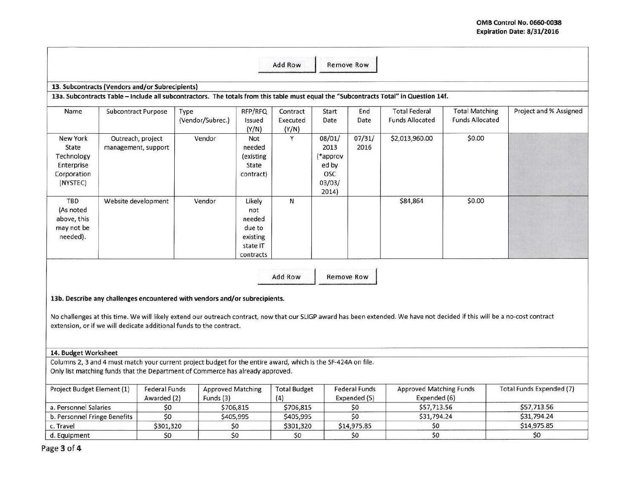|                                                                          |                                                 |                                                                                                                                                                                                                                                                                                                                   |                                                                        | Add Row                       | <b>Remove Row</b>                                             |                                      |                                                |                                                 |                          |
|--------------------------------------------------------------------------|-------------------------------------------------|-----------------------------------------------------------------------------------------------------------------------------------------------------------------------------------------------------------------------------------------------------------------------------------------------------------------------------------|------------------------------------------------------------------------|-------------------------------|---------------------------------------------------------------|--------------------------------------|------------------------------------------------|-------------------------------------------------|--------------------------|
|                                                                          |                                                 |                                                                                                                                                                                                                                                                                                                                   |                                                                        |                               |                                                               |                                      |                                                |                                                 |                          |
|                                                                          | 13. Subcontracts (Vendors and/or Subrecipients) |                                                                                                                                                                                                                                                                                                                                   |                                                                        |                               |                                                               |                                      |                                                |                                                 |                          |
|                                                                          |                                                 | 13a. Subcontracts Table - Include all subcontractors. The totals from this table must equal the "Subcontracts Total" in Question 14f.                                                                                                                                                                                             |                                                                        |                               |                                                               |                                      |                                                |                                                 |                          |
| Name                                                                     | <b>Subcontract Purpose</b>                      | Type<br>(Vendor/Subrec.)                                                                                                                                                                                                                                                                                                          | RFP/RFQ<br>Issued<br>(Y/N)                                             | Contract<br>Executed<br>(Y/N) | Start<br>Date                                                 | End<br>Date                          | <b>Total Federal</b><br><b>Funds Allocated</b> | <b>Total Matching</b><br><b>Funds Allocated</b> | Project and % Assigned   |
| New York<br>State<br>Technology<br>Enterprise<br>Corporation<br>(NYSTEC) | Outreach, project<br>management, support        | Vendor                                                                                                                                                                                                                                                                                                                            | Not<br>needed<br>(existing<br>State<br>contract)                       | Y                             | 08/01/<br>2013<br>(*approv<br>ed by<br>OSC<br>03/03/<br>2014) | 07/31/<br>2016                       | \$2,013,960.00                                 | \$0.00                                          |                          |
| TBD<br>(As noted<br>above, this<br>may not be<br>needed).                | Website development                             | Vendor                                                                                                                                                                                                                                                                                                                            | Likely<br>not<br>needed<br>due to<br>existing<br>state IT<br>contracts | $\mathsf{N}$                  |                                                               |                                      | \$84,864                                       | \$0.00                                          |                          |
|                                                                          |                                                 | 13b. Describe any challenges encountered with vendors and/or subrecipients.<br>No challenges at this time. We will likely extend our outreach contract, now that our SLIGP award has been extended. We have not decided if this will be a no-cost contract<br>extension, or if we will dedicate additional funds to the contract. |                                                                        | Add Row                       | <b>Remove Row</b>                                             |                                      |                                                |                                                 |                          |
| 14. Budget Worksheet                                                     |                                                 |                                                                                                                                                                                                                                                                                                                                   |                                                                        |                               |                                                               |                                      |                                                |                                                 |                          |
|                                                                          |                                                 | Columns 2, 3 and 4 must match your current project budget for the entire award, which is the SF-424A on file.<br>Only list matching funds that the Department of Commerce has already approved.                                                                                                                                   |                                                                        |                               |                                                               |                                      |                                                |                                                 |                          |
| Project Budget Element (1)                                               | Awarded (2)                                     | <b>Federal Funds</b><br><b>Approved Matching</b><br>Funds (3)                                                                                                                                                                                                                                                                     |                                                                        | <b>Total Budget</b><br>(4)    |                                                               | <b>Federal Funds</b><br>Expended (5) | <b>Approved Matching Funds</b><br>Expended (6) |                                                 | Total Funds Expended (7) |
| a. Personnel Salaries                                                    |                                                 | \$0                                                                                                                                                                                                                                                                                                                               | \$706,815                                                              | \$706,815                     |                                                               | \$0                                  | \$57,713.56                                    |                                                 | \$57,713.56              |
| b. Personnel Fringe Benefits                                             |                                                 | \$0                                                                                                                                                                                                                                                                                                                               | \$405,995                                                              | \$405,995                     |                                                               | \$0                                  | \$31,794.24                                    |                                                 | \$31,794.24              |
| c. Travel                                                                |                                                 | \$301,320                                                                                                                                                                                                                                                                                                                         | \$0                                                                    | \$301,320                     |                                                               | \$14,975.85                          | \$0                                            |                                                 | \$14,975.85              |
| d. Equipment                                                             |                                                 | \$0                                                                                                                                                                                                                                                                                                                               | \$0                                                                    | \$0                           |                                                               | \$0                                  | \$0                                            |                                                 | \$0                      |